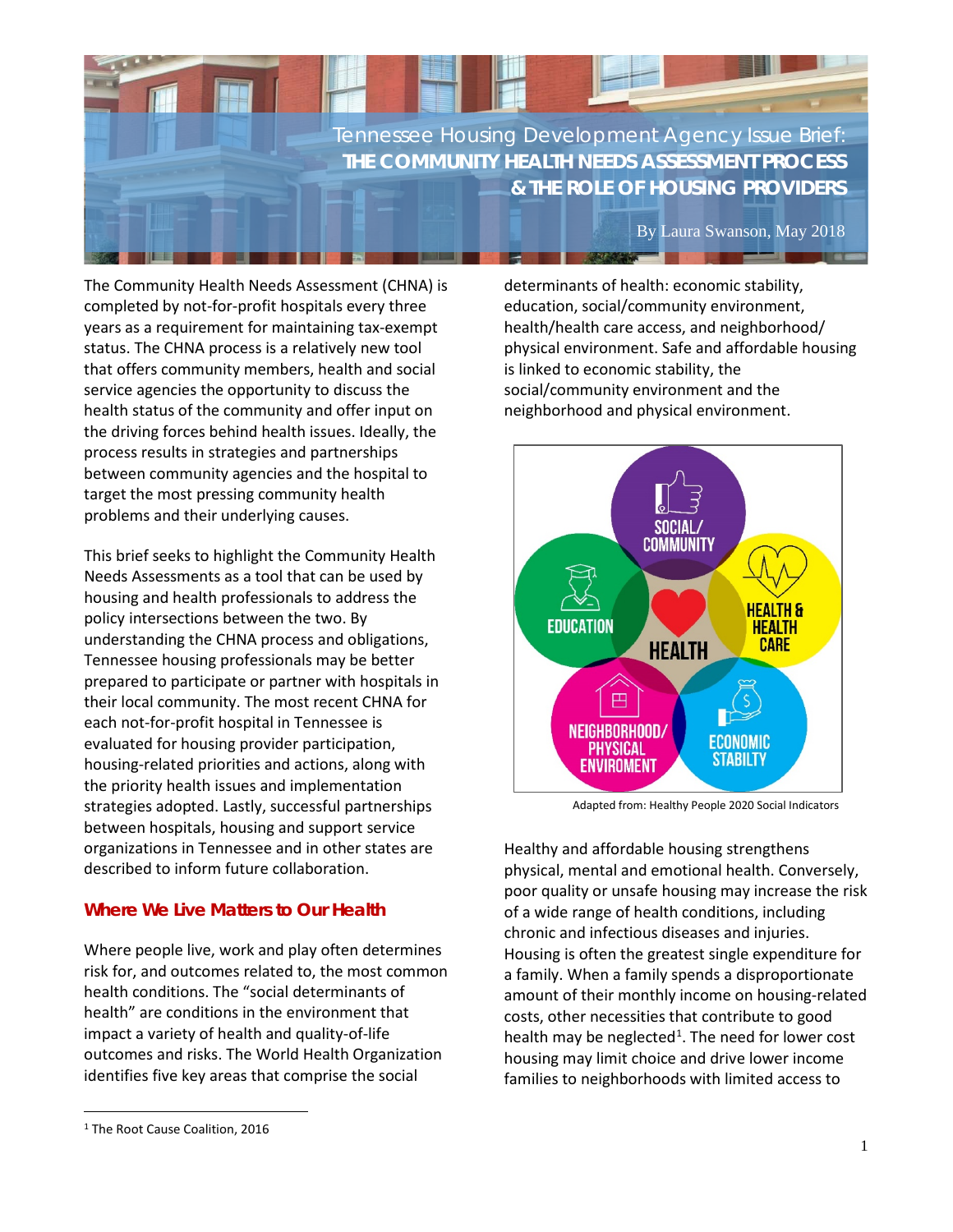

The Community Health Needs Assessment (CHNA) is completed by not-for-profit hospitals every three years as a requirement for maintaining tax-exempt status. The CHNA process is a relatively new tool that offers community members, health and social service agencies the opportunity to discuss the health status of the community and offer input on the driving forces behind health issues. Ideally, the process results in strategies and partnerships between community agencies and the hospital to target the most pressing community health problems and their underlying causes.

This brief seeks to highlight the Community Health Needs Assessments as a tool that can be used by housing and health professionals to address the policy intersections between the two. By understanding the CHNA process and obligations, Tennessee housing professionals may be better prepared to participate or partner with hospitals in their local community. The most recent CHNA for each not-for-profit hospital in Tennessee is evaluated for housing provider participation, housing-related priorities and actions, along with the priority health issues and implementation strategies adopted. Lastly, successful partnerships between hospitals, housing and support service organizations in Tennessee and in other states are described to inform future collaboration.

# **Where We Live Matters to Our Health**

Where people live, work and play often determines risk for, and outcomes related to, the most common health conditions. The "social determinants of health" are conditions in the environment that impact a variety of health and quality-of-life outcomes and risks. The World Health Organization identifies five key areas that comprise the social

determinants of health: economic stability, education, social/community environment, health/health care access, and neighborhood/ physical environment. Safe and affordable housing is linked to economic stability, the social/community environment and the neighborhood and physical environment.



Adapted from: Healthy People 2020 Social Indicators

Healthy and affordable housing strengthens physical, mental and emotional health. Conversely, poor quality or unsafe housing may increase the risk of a wide range of health conditions, including chronic and infectious diseases and injuries. Housing is often the greatest single expenditure for a family. When a family spends a disproportionate amount of their monthly income on housing-related costs, other necessities that contribute to good health may be neglected<sup>[1](#page-0-0)</sup>. The need for lower cost housing may limit choice and drive lower income families to neighborhoods with limited access to

<span id="page-0-0"></span><sup>&</sup>lt;sup>1</sup> The Root Cause Coalition, 2016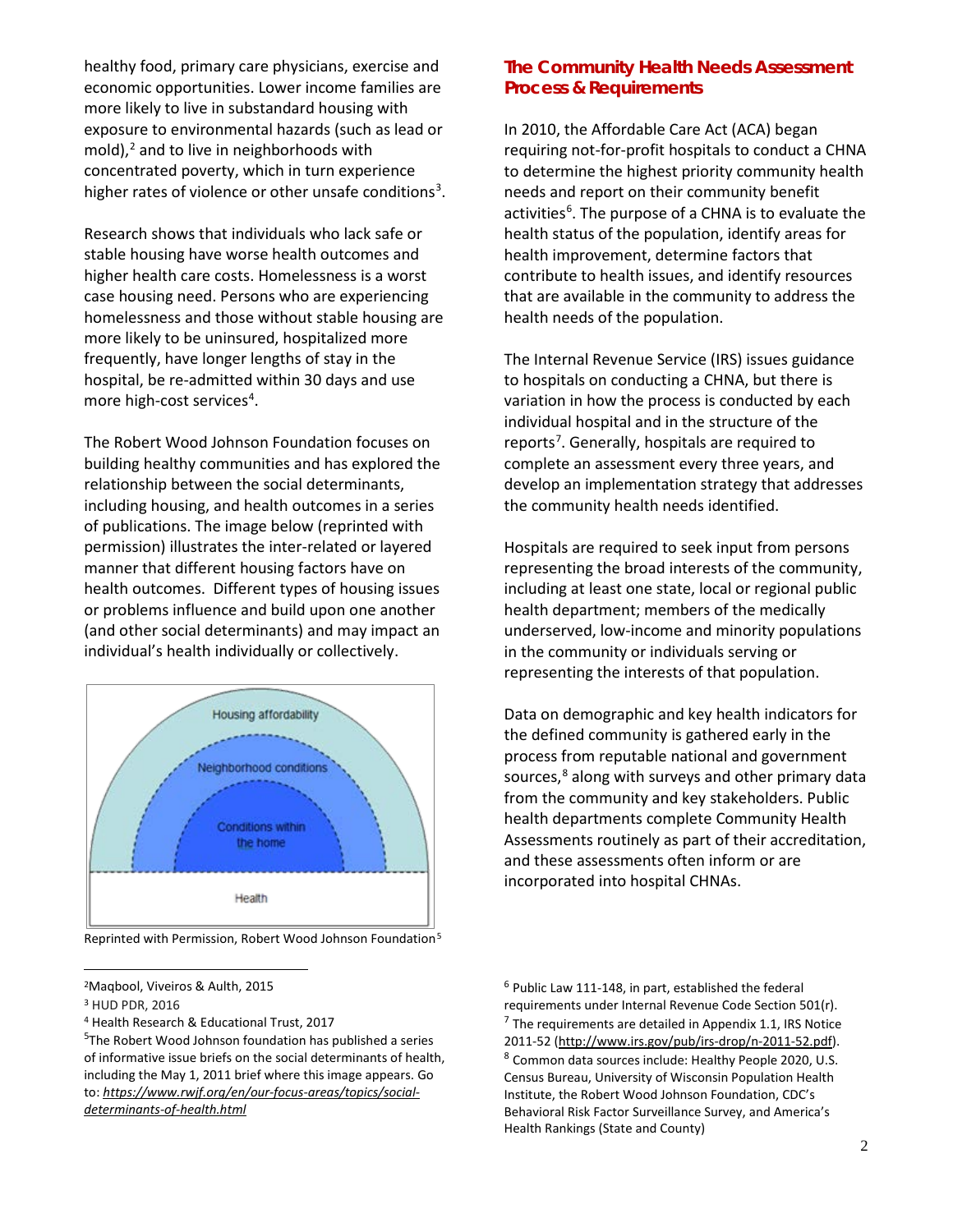healthy food, primary care physicians, exercise and economic opportunities. Lower income families are more likely to live in substandard housing with exposure to environmental hazards (such as lead or mold), $^2$  $^2$  and to live in neighborhoods with concentrated poverty, which in turn experience higher rates of violence or other unsafe conditions<sup>[3](#page-1-1)</sup>.

Research shows that individuals who lack safe or stable housing have worse health outcomes and higher health care costs. Homelessness is a worst case housing need. Persons who are experiencing homelessness and those without stable housing are more likely to be uninsured, hospitalized more frequently, have longer lengths of stay in the hospital, be re-admitted within 30 days and use more high-cost services<sup>[4](#page-1-2)</sup>.

The Robert Wood Johnson Foundation focuses on building healthy communities and has explored the relationship between the social determinants, including housing, and health outcomes in a series of publications. The image below (reprinted with permission) illustrates the inter-related or layered manner that different housing factors have on health outcomes. Different types of housing issues or problems influence and build upon one another (and other social determinants) and may impact an individual's health individually or collectively.



Reprinted with Permission, Robert Wood Johnson Foundation<sup>[5](#page-1-3)</sup>

<span id="page-1-0"></span>2Maqbool, Viveiros & Aulth, 2015

## **The Community Health Needs Assessment Process & Requirements**

In 2010, the Affordable Care Act (ACA) began requiring not-for-profit hospitals to conduct a CHNA to determine the highest priority community health needs and report on their community benefit activities<sup>[6](#page-1-0)</sup>. The purpose of a CHNA is to evaluate the health status of the population, identify areas for health improvement, determine factors that contribute to health issues, and identify resources that are available in the community to address the health needs of the population.

The Internal Revenue Service (IRS) issues guidance to hospitals on conducting a CHNA, but there is variation in how the process is conducted by each individual hospital and in the structure of the reports<sup>[7](#page-1-2)</sup>. Generally, hospitals are required to complete an assessment every three years, and develop an implementation strategy that addresses the community health needs identified.

Hospitals are required to seek input from persons representing the broad interests of the community, including at least one state, local or regional public health department; members of the medically underserved, low-income and minority populations in the community or individuals serving or representing the interests of that population.

Data on demographic and key health indicators for the defined community is gathered early in the process from reputable national and government sources, [8](#page-1-4) along with surveys and other primary data from the community and key stakeholders. Public health departments complete Community Health Assessments routinely as part of their accreditation, and these assessments often inform or are incorporated into hospital CHNAs.

<span id="page-1-1"></span><sup>3</sup> HUD PDR, 2016

<span id="page-1-2"></span><sup>4</sup> Health Research & Educational Trust, 2017

<span id="page-1-4"></span><span id="page-1-3"></span><sup>&</sup>lt;sup>5</sup>The Robert Wood Johnson foundation has published a series of informative issue briefs on the social determinants of health, including the May 1, 2011 brief where this image appears. Go to: *https://www.rwjf.org/en/our-focus-areas/topics/socialdeterminants-of-health.html*

 $6$  Public Law 111-148, in part, established the federal requirements under Internal Revenue Code Section 501(r).  $7$  The requirements are detailed in Appendix 1.1, IRS Notice 2011-52 (http://www.irs.gov/pub/irs-drop/n-2011-52.pdf). <sup>8</sup> Common data sources include: Healthy People 2020, U.S. Census Bureau, University of Wisconsin Population Health Institute, the Robert Wood Johnson Foundation, CDC's Behavioral Risk Factor Surveillance Survey, and America's Health Rankings (State and County)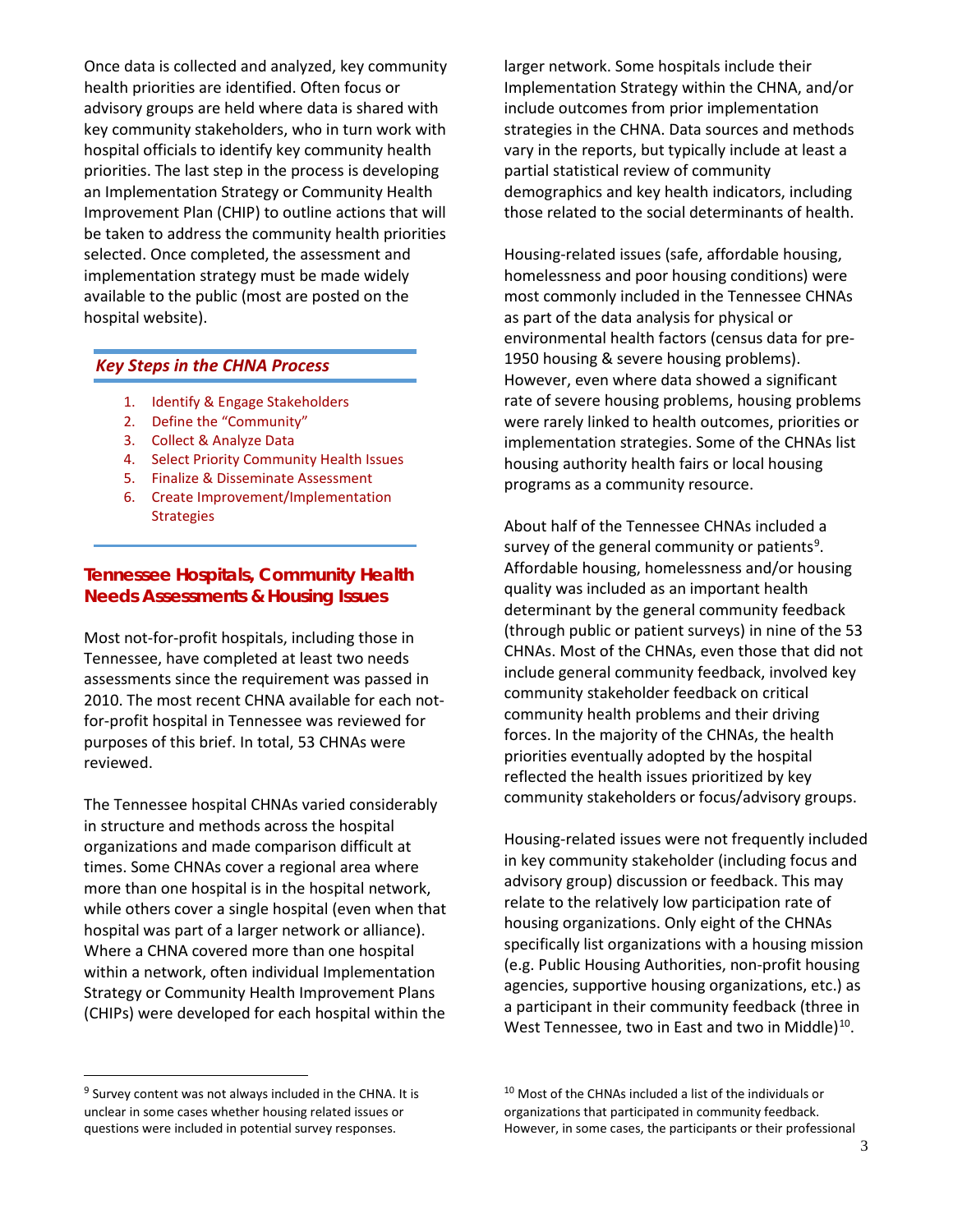Once data is collected and analyzed, key community health priorities are identified. Often focus or advisory groups are held where data is shared with key community stakeholders, who in turn work with hospital officials to identify key community health priorities. The last step in the process is developing an Implementation Strategy or Community Health Improvement Plan (CHIP) to outline actions that will be taken to address the community health priorities selected. Once completed, the assessment and implementation strategy must be made widely available to the public (most are posted on the hospital website).

#### *Key Steps in the CHNA Process*

- 1. Identify & Engage Stakeholders
- 2. Define the "Community"
- 3. Collect & Analyze Data
- 4. Select Priority Community Health Issues
- 5. Finalize & Disseminate Assessment
- 6. Create Improvement/Implementation **Strategies**

# **Tennessee Hospitals, Community Health Needs Assessments & Housing Issues**

Most not-for-profit hospitals, including those in Tennessee, have completed at least two needs assessments since the requirement was passed in 2010. The most recent CHNA available for each notfor-profit hospital in Tennessee was reviewed for purposes of this brief. In total, 53 CHNAs were reviewed.

The Tennessee hospital CHNAs varied considerably in structure and methods across the hospital organizations and made comparison difficult at times. Some CHNAs cover a regional area where more than one hospital is in the hospital network, while others cover a single hospital (even when that hospital was part of a larger network or alliance). Where a CHNA covered more than one hospital within a network, often individual Implementation Strategy or Community Health Improvement Plans (CHIPs) were developed for each hospital within the

larger network. Some hospitals include their Implementation Strategy within the CHNA, and/or include outcomes from prior implementation strategies in the CHNA. Data sources and methods vary in the reports, but typically include at least a partial statistical review of community demographics and key health indicators, including those related to the social determinants of health.

Housing-related issues (safe, affordable housing, homelessness and poor housing conditions) were most commonly included in the Tennessee CHNAs as part of the data analysis for physical or environmental health factors (census data for pre-1950 housing & severe housing problems). However, even where data showed a significant rate of severe housing problems, housing problems were rarely linked to health outcomes, priorities or implementation strategies. Some of the CHNAs list housing authority health fairs or local housing programs as a community resource.

About half of the Tennessee CHNAs included a survey of the general community or patients<sup>[9](#page-2-0)</sup>. Affordable housing, homelessness and/or housing quality was included as an important health determinant by the general community feedback (through public or patient surveys) in nine of the 53 CHNAs. Most of the CHNAs, even those that did not include general community feedback, involved key community stakeholder feedback on critical community health problems and their driving forces. In the majority of the CHNAs, the health priorities eventually adopted by the hospital reflected the health issues prioritized by key community stakeholders or focus/advisory groups.

Housing-related issues were not frequently included in key community stakeholder (including focus and advisory group) discussion or feedback. This may relate to the relatively low participation rate of housing organizations. Only eight of the CHNAs specifically list organizations with a housing mission (e.g. Public Housing Authorities, non-profit housing agencies, supportive housing organizations, etc.) as a participant in their community feedback (three in West Tennessee, two in East and two in Middle)<sup>[10](#page-2-0)</sup>.

<span id="page-2-0"></span><sup>&</sup>lt;sup>9</sup> Survey content was not always included in the CHNA. It is unclear in some cases whether housing related issues or questions were included in potential survey responses.

<sup>&</sup>lt;sup>10</sup> Most of the CHNAs included a list of the individuals or organizations that participated in community feedback. However, in some cases, the participants or their professional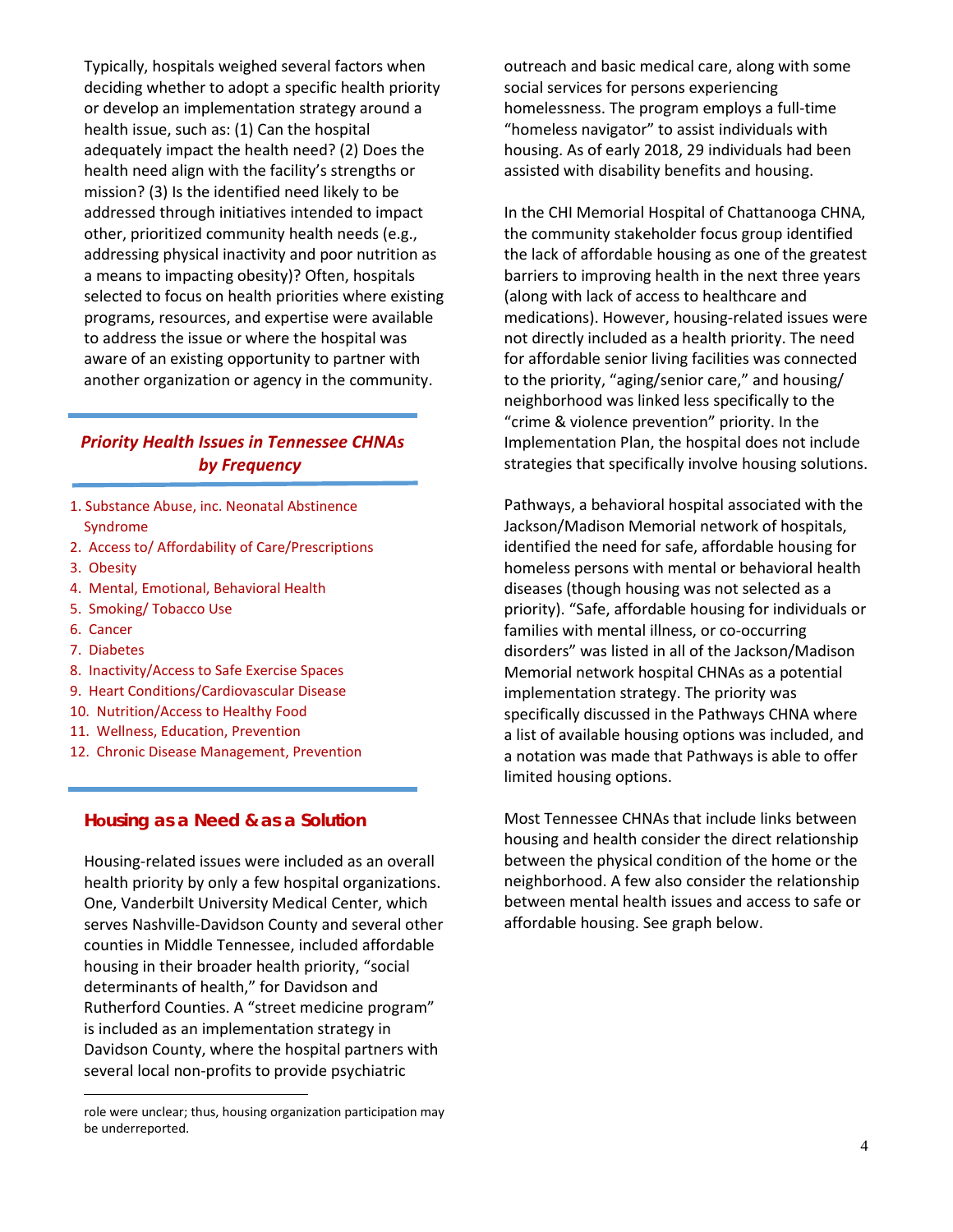Typically, hospitals weighed several factors when deciding whether to adopt a specific health priority or develop an implementation strategy around a health issue, such as: (1) Can the hospital adequately impact the health need? (2) Does the health need align with the facility's strengths or mission? (3) Is the identified need likely to be addressed through initiatives intended to impact other, prioritized community health needs (e.g., addressing physical inactivity and poor nutrition as a means to impacting obesity)? Often, hospitals selected to focus on health priorities where existing programs, resources, and expertise were available to address the issue or where the hospital was aware of an existing opportunity to partner with another organization or agency in the community.

# *Priority Health Issues in Tennessee CHNAs by Frequency*

- 1. Substance Abuse, inc. Neonatal Abstinence Syndrome
- 2. Access to/ Affordability of Care/Prescriptions
- 3. Obesity
- 4. Mental, Emotional, Behavioral Health
- 5. Smoking/ Tobacco Use
- 6. Cancer

 $\overline{\phantom{a}}$ 

- 7. Diabetes
- 8. Inactivity/Access to Safe Exercise Spaces
- 9. Heart Conditions/Cardiovascular Disease
- 10. Nutrition/Access to Healthy Food
- 11. Wellness, Education, Prevention
- 12. Chronic Disease Management, Prevention

## **Housing as a Need & as a Solution**

Housing-related issues were included as an overall health priority by only a few hospital organizations. One, Vanderbilt University Medical Center, which serves Nashville-Davidson County and several other counties in Middle Tennessee, included affordable housing in their broader health priority, "social determinants of health," for Davidson and Rutherford Counties. A "street medicine program" is included as an implementation strategy in Davidson County, where the hospital partners with several local non-profits to provide psychiatric

outreach and basic medical care, along with some social services for persons experiencing homelessness. The program employs a full-time "homeless navigator" to assist individuals with housing. As of early 2018, 29 individuals had been assisted with disability benefits and housing.

In the CHI Memorial Hospital of Chattanooga CHNA, the community stakeholder focus group identified the lack of affordable housing as one of the greatest barriers to improving health in the next three years (along with lack of access to healthcare and medications). However, housing-related issues were not directly included as a health priority. The need for affordable senior living facilities was connected to the priority, "aging/senior care," and housing/ neighborhood was linked less specifically to the "crime & violence prevention" priority. In the Implementation Plan, the hospital does not include strategies that specifically involve housing solutions.

Pathways, a behavioral hospital associated with the Jackson/Madison Memorial network of hospitals, identified the need for safe, affordable housing for homeless persons with mental or behavioral health diseases (though housing was not selected as a priority). "Safe, affordable housing for individuals or families with mental illness, or co-occurring disorders" was listed in all of the Jackson/Madison Memorial network hospital CHNAs as a potential implementation strategy. The priority was specifically discussed in the Pathways CHNA where a list of available housing options was included, and a notation was made that Pathways is able to offer limited housing options.

Most Tennessee CHNAs that include links between housing and health consider the direct relationship between the physical condition of the home or the neighborhood. A few also consider the relationship between mental health issues and access to safe or affordable housing. See graph below.

role were unclear; thus, housing organization participation may be underreported.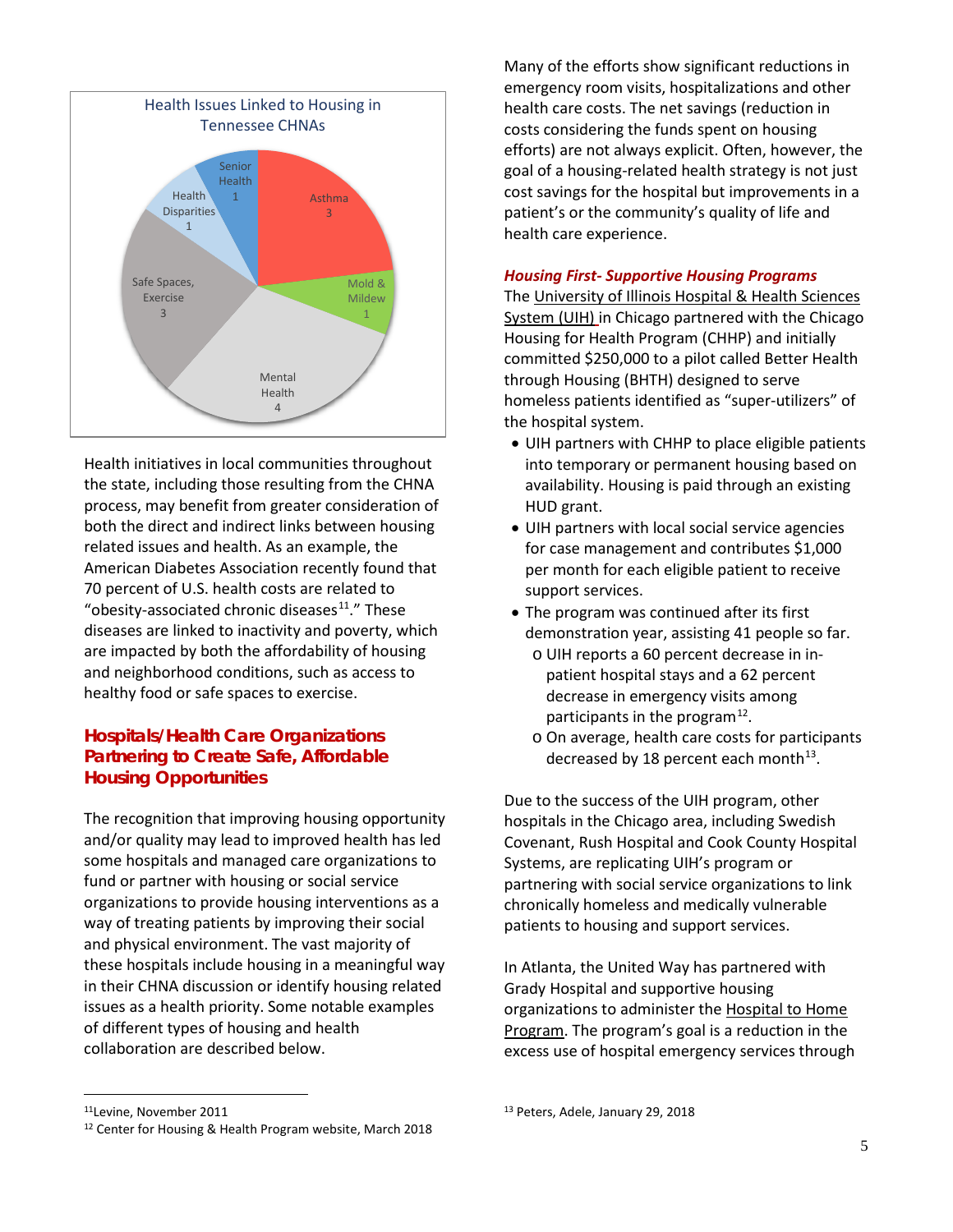

Health initiatives in local communities throughout the state, including those resulting from the CHNA process, may benefit from greater consideration of both the direct and indirect links between housing related issues and health. As an example, the American Diabetes Association recently found that 70 percent of U.S. health costs are related to "obesity-associated chronic diseases $^{11}$ ." These diseases are linked to inactivity and poverty, which are impacted by both the affordability of housing and neighborhood conditions, such as access to healthy food or safe spaces to exercise.

# **Hospitals/Health Care Organizations Partnering to Create Safe, Affordable Housing Opportunities**

The recognition that improving housing opportunity and/or quality may lead to improved health has led some hospitals and managed care organizations to fund or partner with housing or social service organizations to provide housing interventions as a way of treating patients by improving their social and physical environment. The vast majority of these hospitals include housing in a meaningful way in their CHNA discussion or identify housing related issues as a health priority. Some notable examples of different types of housing and health collaboration are described below.

Many of the efforts show significant reductions in emergency room visits, hospitalizations and other health care costs. The net savings (reduction in costs considering the funds spent on housing efforts) are not always explicit. Often, however, the goal of a housing-related health strategy is not just cost savings for the hospital but improvements in a patient's or the community's quality of life and health care experience.

### *Housing First- Supportive Housing Programs*

The University of Illinois Hospital & Health Sciences System (UIH) in Chicago partnered with the Chicago Housing for Health Program (CHHP) and initially committed \$250,000 to a pilot called Better Health through Housing (BHTH) designed to serve homeless patients identified as "super-utilizers" of the hospital system.

- UIH partners with CHHP to place eligible patients into temporary or permanent housing based on availability. Housing is paid through an existing HUD grant.
- UIH partners with local social service agencies for case management and contributes \$1,000 per month for each eligible patient to receive support services.
- The program was continued after its first demonstration year, assisting 41 people so far.
	- o UIH reports a 60 percent decrease in inpatient hospital stays and a 62 percent decrease in emergency visits among participants in the program<sup>12</sup>.
	- o On average, health care costs for participants decreased by 18 percent each month $^{13}$ .

Due to the success of the UIH program, other hospitals in the Chicago area, including Swedish Covenant, Rush Hospital and Cook County Hospital Systems, are replicating UIH's program or partnering with social service organizations to link chronically homeless and medically vulnerable patients to housing and support services.

In Atlanta, the United Way has partnered with Grady Hospital and supportive housing organizations to administer the Hospital to Home Program. The program's goal is a reduction in the excess use of hospital emergency services through

<span id="page-4-0"></span> <sup>11</sup>Levine, November 2011

<span id="page-4-1"></span><sup>12</sup> Center for Housing & Health Program website, March 2018

<sup>13</sup> Peters, Adele, January 29, 2018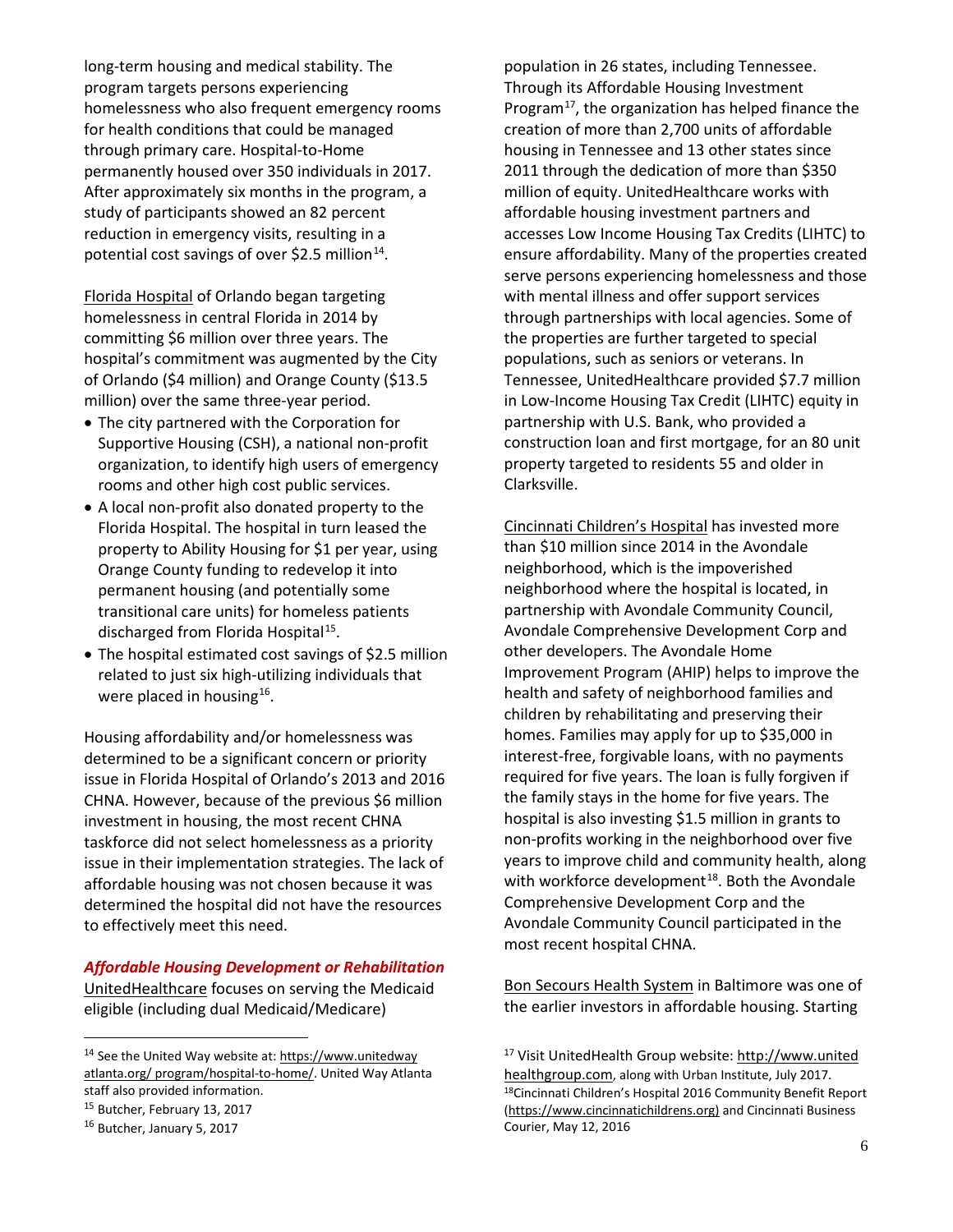long-term housing and medical stability. The program targets persons experiencing homelessness who also frequent emergency rooms for health conditions that could be managed through primary care. Hospital-to-Home permanently housed over 350 individuals in 2017. After approximately six months in the program, a study of participants showed an 82 percent reduction in emergency visits, resulting in a potential cost savings of over \$2.5 million<sup>14</sup>.

Florida Hospital of Orlando began targeting homelessness in central Florida in 2014 by committing \$6 million over three years. The hospital's commitment was augmented by the City of Orlando (\$4 million) and Orange County (\$13.5 million) over the same three-year period.

- The city partnered with the Corporation for Supportive Housing (CSH), a national non-profit organization, to identify high users of emergency rooms and other high cost public services.
- A local non-profit also donated property to the Florida Hospital. The hospital in turn leased the property to Ability Housing for \$1 per year, using Orange County funding to redevelop it into permanent housing (and potentially some transitional care units) for homeless patients discharged from Florida Hospital $15$ .
- The hospital estimated cost savings of \$2.5 million related to just six high-utilizing individuals that were placed in housing $16$ .

Housing affordability and/or homelessness was determined to be a significant concern or priority issue in Florida Hospital of Orlando's 2013 and 2016 CHNA. However, because of the previous \$6 million investment in housing, the most recent CHNA taskforce did not select homelessness as a priority issue in their implementation strategies. The lack of affordable housing was not chosen because it was determined the hospital did not have the resources to effectively meet this need.

## *Affordable Housing Development or Rehabilitation* UnitedHealthcare focuses on serving the Medicaid eligible (including dual Medicaid/Medicare)

population in 26 states, including Tennessee. Through its Affordable Housing Investment Program $17$ , the organization has helped finance the creation of more than 2,700 units of affordable housing in Tennessee and 13 other states since 2011 through the dedication of more than \$350 million of equity. UnitedHealthcare works with affordable housing investment partners and accesses Low Income Housing Tax Credits (LIHTC) to ensure affordability. Many of the properties created serve persons experiencing homelessness and those with mental illness and offer support services through partnerships with local agencies. Some of the properties are further targeted to special populations, such as seniors or veterans. In Tennessee, UnitedHealthcare provided \$7.7 million in Low-Income Housing Tax Credit (LIHTC) equity in partnership with U.S. Bank, who provided a construction loan and first mortgage, for an 80 unit property targeted to residents 55 and older in Clarksville.

Cincinnati Children's Hospital has invested more than \$10 million since 2014 in the Avondale neighborhood, which is the impoverished neighborhood where the hospital is located, in partnership with Avondale Community Council, Avondale Comprehensive Development Corp and other developers. The Avondale Home Improvement Program (AHIP) helps to improve the health and safety of neighborhood families and children by rehabilitating and preserving their homes. Families may apply for up to \$35,000 in interest-free, forgivable loans, with no payments required for five years. The loan is fully forgiven if the family stays in the home for five years. The hospital is also investing \$1.5 million in grants to non-profits working in the neighborhood over five years to improve child and community health, along with workforce development $18$ . Both the Avondale Comprehensive Development Corp and the Avondale Community Council participated in the most recent hospital CHNA.

Bon Secours Health System in Baltimore was one of the earlier investors in affordable housing. Starting

<span id="page-5-0"></span> <sup>14</sup> See the United Way website at: https://www.unitedway atlanta.org/ program/hospital-to-home/. United Way Atlanta staff also provided information.

<span id="page-5-3"></span><span id="page-5-1"></span><sup>&</sup>lt;sup>15</sup> Butcher, February 13, 2017

<span id="page-5-2"></span><sup>16</sup> Butcher, January 5, 2017

<sup>17</sup> Visit UnitedHealth Group website: [http://www.united](http://www.united/) healthgroup.com, along with Urban Institute, July 2017. 18Cincinnati Children's Hospital 2016 Community Benefit Report (https://www.cincinnatichildrens.org) and Cincinnati Business Courier, May 12, 2016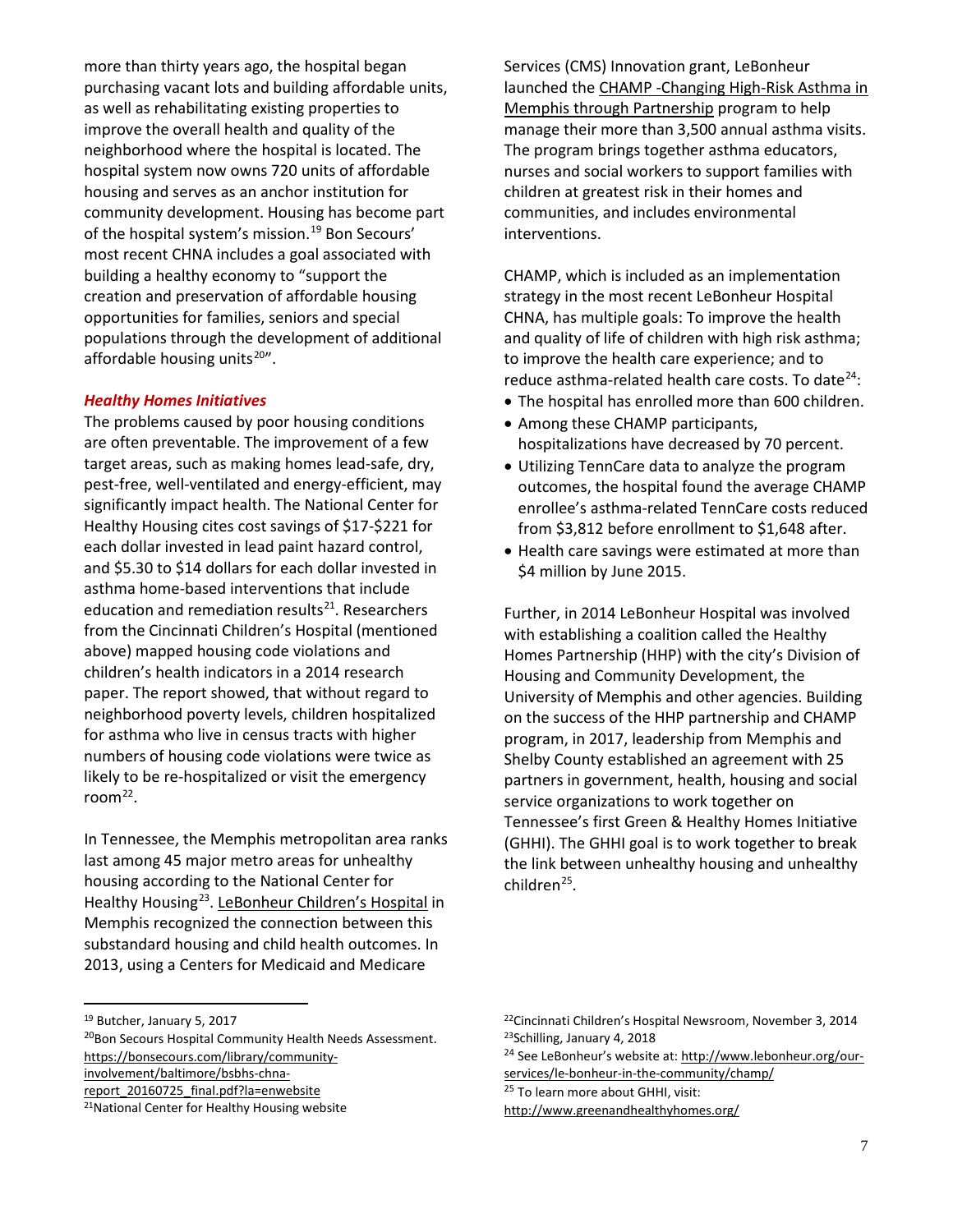more than thirty years ago, the hospital began purchasing vacant lots and building affordable units, as well as rehabilitating existing properties to improve the overall health and quality of the neighborhood where the hospital is located. The hospital system now owns 720 units of affordable housing and serves as an anchor institution for community development. Housing has become part of the hospital system's mission.<sup>[19](#page-6-0)</sup> Bon Secours' most recent CHNA includes a goal associated with building a healthy economy to "support the creation and preservation of affordable housing opportunities for families, seniors and special populations through the development of additional affordable housing units $20"$  $20"$ .

### *Healthy Homes Initiatives*

The problems caused by poor housing conditions are often preventable. The improvement of a few target areas, such as making homes lead-safe, dry, pest-free, well-ventilated and energy-efficient, may significantly impact health. The National Center for Healthy Housing cites cost savings of \$17-\$221 for each dollar invested in lead paint hazard control, and \$5.30 to \$14 dollars for each dollar invested in asthma home-based interventions that include education and remediation results $^{21}$  $^{21}$  $^{21}$ . Researchers from the Cincinnati Children's Hospital (mentioned above) mapped housing code violations and children's health indicators in a 2014 research paper. The report showed, that without regard to neighborhood poverty levels, children hospitalized for asthma who live in census tracts with higher numbers of housing code violations were twice as likely to be re-hospitalized or visit the emergency room $^{22}$ .

In Tennessee, the Memphis metropolitan area ranks last among 45 major metro areas for unhealthy housing according to the National Center for Healthy Housing<sup>23</sup>. LeBonheur Children's Hospital in Memphis recognized the connection between this substandard housing and child health outcomes. In 2013, using a Centers for Medicaid and Medicare

Services (CMS) Innovation grant, LeBonheur launched the CHAMP -Changing High-Risk Asthma in Memphis through Partnership program to help manage their more than 3,500 annual asthma visits. The program brings together asthma educators, nurses and social workers to support families with children at greatest risk in their homes and communities, and includes environmental interventions.

CHAMP, which is included as an implementation strategy in the most recent LeBonheur Hospital CHNA, has multiple goals: To improve the health and quality of life of children with high risk asthma; to improve the health care experience; and to reduce asthma-related health care costs. To date $^{24}$ :

- The hospital has enrolled more than 600 children.
- Among these CHAMP participants, hospitalizations have decreased by 70 percent.
- Utilizing TennCare data to analyze the program outcomes, the hospital found the average CHAMP enrollee's asthma-related TennCare costs reduced from \$3,812 before enrollment to \$1,648 after.
- Health care savings were estimated at more than \$4 million by June 2015.

Further, in 2014 LeBonheur Hospital was involved with establishing a coalition called the Healthy Homes Partnership (HHP) with the city's Division of Housing and Community Development, the University of Memphis and other agencies. Building on the success of the HHP partnership and CHAMP program, in 2017, leadership from Memphis and Shelby County established an agreement with 25 partners in government, health, housing and social service organizations to work together on Tennessee's first Green & Healthy Homes Initiative (GHHI). The GHHI goal is to work together to break the link between unhealthy housing and unhealthy children $^{25}$ .

<span id="page-6-0"></span> <sup>19</sup> Butcher, January 5, 2017

<span id="page-6-3"></span><span id="page-6-1"></span><sup>&</sup>lt;sup>20</sup>Bon Secours Hospital Community Health Needs Assessment. https://bonsecours.com/library/communityinvolvement/baltimore/bsbhs-chnareport\_20160725\_final.pdf?la=enwebsite

<span id="page-6-4"></span><span id="page-6-2"></span><sup>21</sup>National Center for Healthy Housing website

<sup>22</sup>Cincinnati Children's Hospital Newsroom, November 3, 2014 23Schilling, January 4, 2018

<sup>24</sup> See LeBonheur's website at: http://www.lebonheur.org/ourservices/le-bonheur-in-the-community/champ/<br><sup>25</sup> To learn more about GHHI, visit:

http://www.greenandhealthyhomes.org/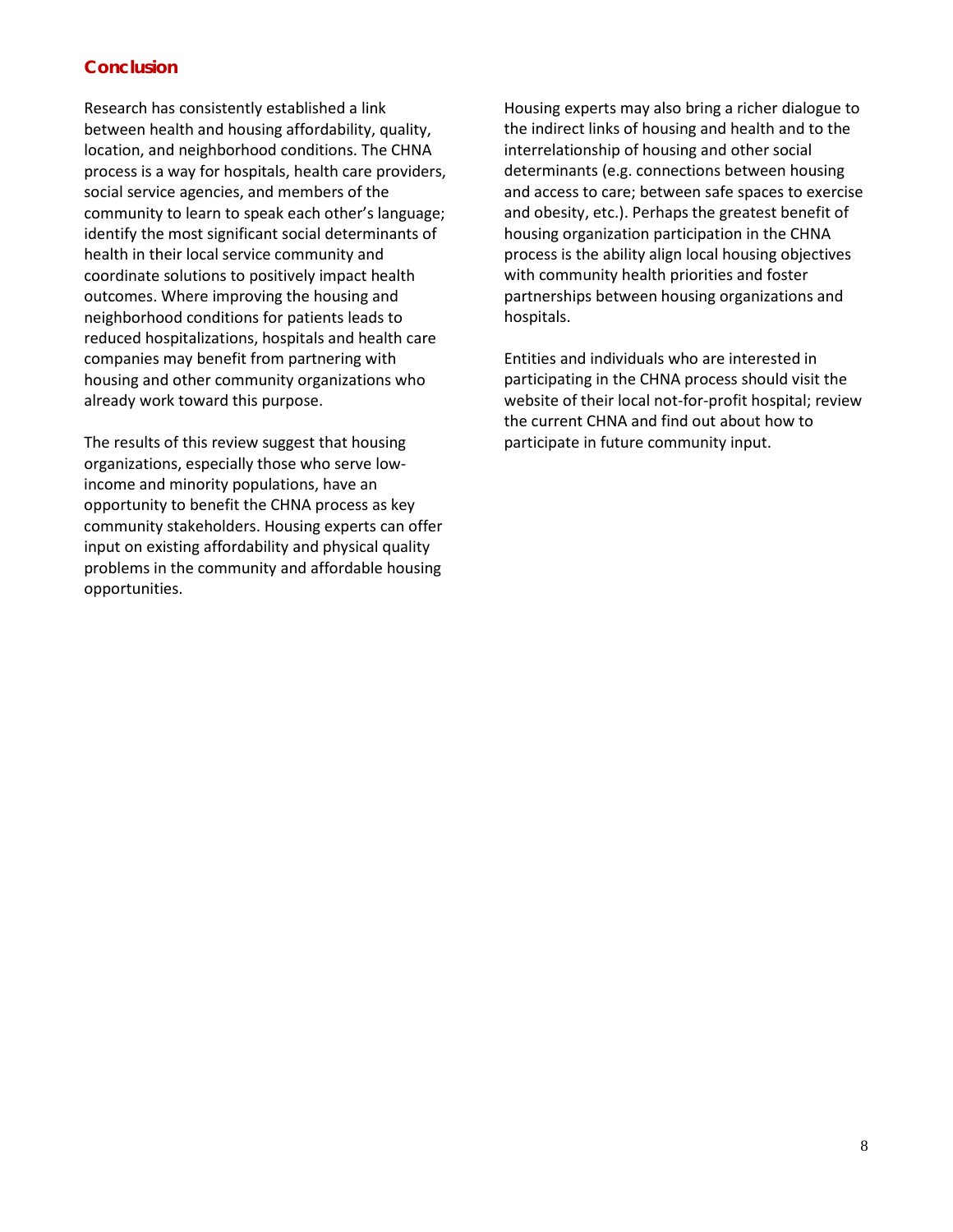# **Conclusion**

Research has consistently established a link between health and housing affordability, quality, location, and neighborhood conditions. The CHNA process is a way for hospitals, health care providers, social service agencies, and members of the community to learn to speak each other's language; identify the most significant social determinants of health in their local service community and coordinate solutions to positively impact health outcomes. Where improving the housing and neighborhood conditions for patients leads to reduced hospitalizations, hospitals and health care companies may benefit from partnering with housing and other community organizations who already work toward this purpose.

The results of this review suggest that housing organizations, especially those who serve lowincome and minority populations, have an opportunity to benefit the CHNA process as key community stakeholders. Housing experts can offer input on existing affordability and physical quality problems in the community and affordable housing opportunities.

Housing experts may also bring a richer dialogue to the indirect links of housing and health and to the interrelationship of housing and other social determinants (e.g. connections between housing and access to care; between safe spaces to exercise and obesity, etc.). Perhaps the greatest benefit of housing organization participation in the CHNA process is the ability align local housing objectives with community health priorities and foster partnerships between housing organizations and hospitals.

Entities and individuals who are interested in participating in the CHNA process should visit the website of their local not-for-profit hospital; review the current CHNA and find out about how to participate in future community input.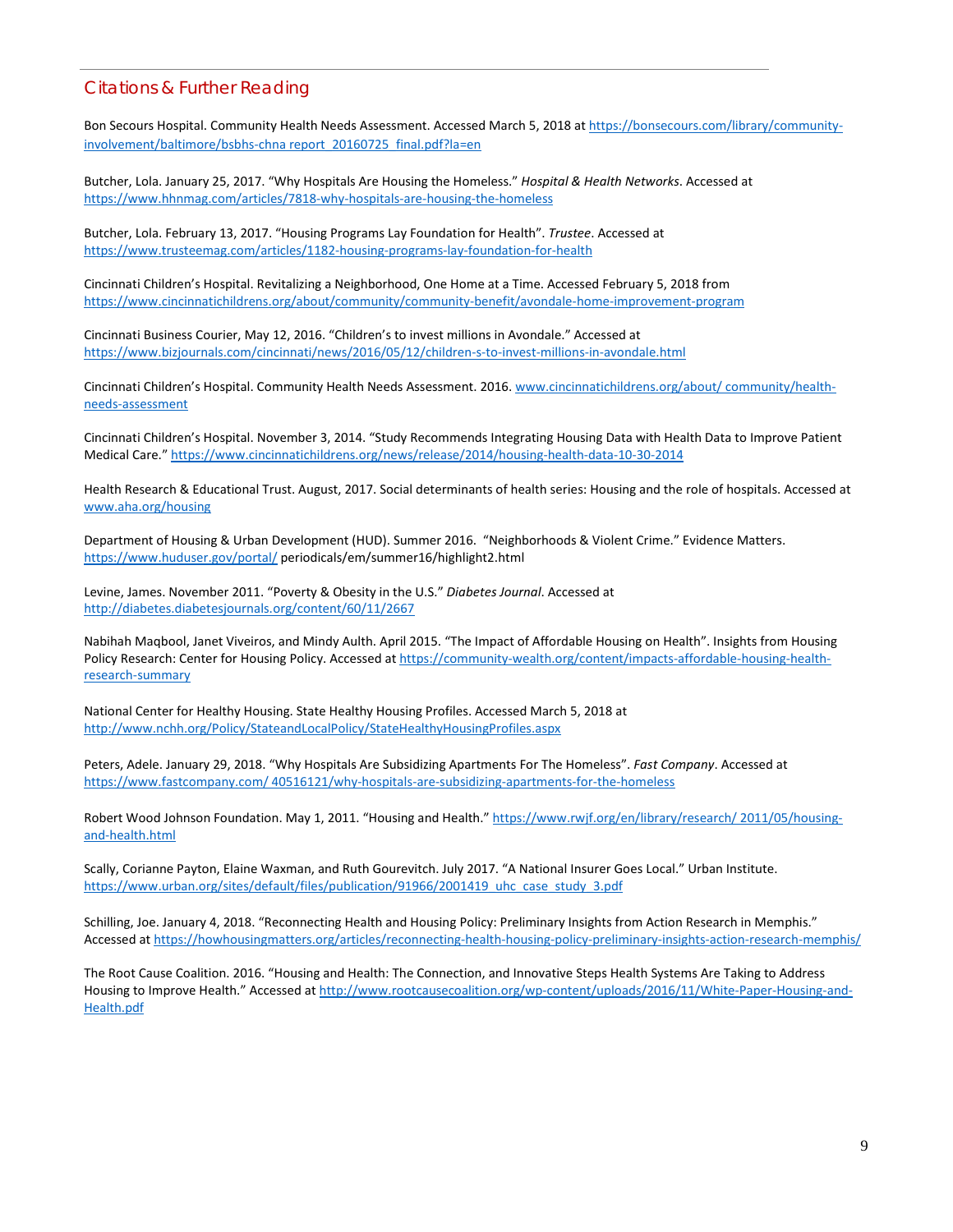## Citations & Further Reading

Bon Secours Hospital. Community Health Needs Assessment. Accessed March 5, 2018 a[t https://bonsecours.com/library/community](https://bonsecours.com/library/community-involvement/baltimore/bsbhs-chna%20report_20160725_final.pdf?la=en)[involvement/baltimore/bsbhs-chna report\\_20160725\\_final.pdf?la=en](https://bonsecours.com/library/community-involvement/baltimore/bsbhs-chna%20report_20160725_final.pdf?la=en)

Butcher, Lola. January 25, 2017. "Why Hospitals Are Housing the Homeless." *Hospital & Health Networks*. Accessed at <https://www.hhnmag.com/articles/7818-why-hospitals-are-housing-the-homeless>

Butcher, Lola. February 13, 2017. "Housing Programs Lay Foundation for Health". *Trustee*. Accessed at <https://www.trusteemag.com/articles/1182-housing-programs-lay-foundation-for-health>

Cincinnati Children's Hospital. Revitalizing a Neighborhood, One Home at a Time. Accessed February 5, 2018 from <https://www.cincinnatichildrens.org/about/community/community-benefit/avondale-home-improvement-program>

Cincinnati Business Courier, May 12, 2016. "Children's to invest millions in Avondale." Accessed at <https://www.bizjournals.com/cincinnati/news/2016/05/12/children-s-to-invest-millions-in-avondale.html>

Cincinnati Children's Hospital. Community Health Needs Assessment. 2016[. www.cincinnatichildrens.org/about/ community/health](http://www.cincinnatichildrens.org/about/%20community/health-needs-assessment)[needs-assessment](http://www.cincinnatichildrens.org/about/%20community/health-needs-assessment)

Cincinnati Children's Hospital. November 3, 2014. "Study Recommends Integrating Housing Data with Health Data to Improve Patient Medical Care."<https://www.cincinnatichildrens.org/news/release/2014/housing-health-data-10-30-2014>

Health Research & Educational Trust. August, 2017. Social determinants of health series: Housing and the role of hospitals. Accessed at [www.aha.org/housing](http://www.aha.org/housing)

Department of Housing & Urban Development (HUD). Summer 2016. "Neighborhoods & Violent Crime." Evidence Matters. <https://www.huduser.gov/portal/> periodicals/em/summer16/highlight2.html

Levine, James. November 2011. "Poverty & Obesity in the U.S." *Diabetes Journal*. Accessed at <http://diabetes.diabetesjournals.org/content/60/11/2667>

Nabihah Maqbool, Janet Viveiros, and Mindy Aulth. April 2015. "The Impact of Affordable Housing on Health". Insights from Housing Policy Research: Center for Housing Policy. Accessed at [https://community-wealth.org/content/impacts-affordable-housing-health](https://community-wealth.org/content/impacts-affordable-housing-health-research-summary)[research-summary](https://community-wealth.org/content/impacts-affordable-housing-health-research-summary)

National Center for Healthy Housing. State Healthy Housing Profiles. Accessed March 5, 2018 at <http://www.nchh.org/Policy/StateandLocalPolicy/StateHealthyHousingProfiles.aspx>

Peters, Adele. January 29, 2018. "Why Hospitals Are Subsidizing Apartments For The Homeless". *Fast Company*. Accessed at [https://www.fastcompany.com/ 40516121/why-hospitals-are-subsidizing-apartments-for-the-homeless](https://www.fastcompany.com/%2040516121/why-hospitals-are-subsidizing-apartments-for-the-homeless)

Robert Wood Johnson Foundation. May 1, 2011. "Housing and Health.[" https://www.rwjf.org/en/library/research/ 2011/05/housing](https://www.rwjf.org/en/library/research/%202011/05/housing-and-health.html)[and-health.html](https://www.rwjf.org/en/library/research/%202011/05/housing-and-health.html)

Scally, Corianne Payton, Elaine Waxman, and Ruth Gourevitch. July 2017. "A National Insurer Goes Local." Urban Institute. [https://www.urban.org/sites/default/files/publication/91966/2001419\\_uhc\\_case\\_study\\_3.pdf](https://www.urban.org/sites/default/files/publication/91966/2001419_uhc_case_study_3.pdf)

Schilling, Joe. January 4, 2018. "Reconnecting Health and Housing Policy: Preliminary Insights from Action Research in Memphis." Accessed at<https://howhousingmatters.org/articles/reconnecting-health-housing-policy-preliminary-insights-action-research-memphis/>

The Root Cause Coalition. 2016. "Housing and Health: The Connection, and Innovative Steps Health Systems Are Taking to Address Housing to Improve Health." Accessed a[t http://www.rootcausecoalition.org/wp-content/uploads/2016/11/White-Paper-Housing-and-](http://www.rootcausecoalition.org/wp-content/uploads/2016/11/White-Paper-Housing-and-Health.pdf)[Health.pdf](http://www.rootcausecoalition.org/wp-content/uploads/2016/11/White-Paper-Housing-and-Health.pdf)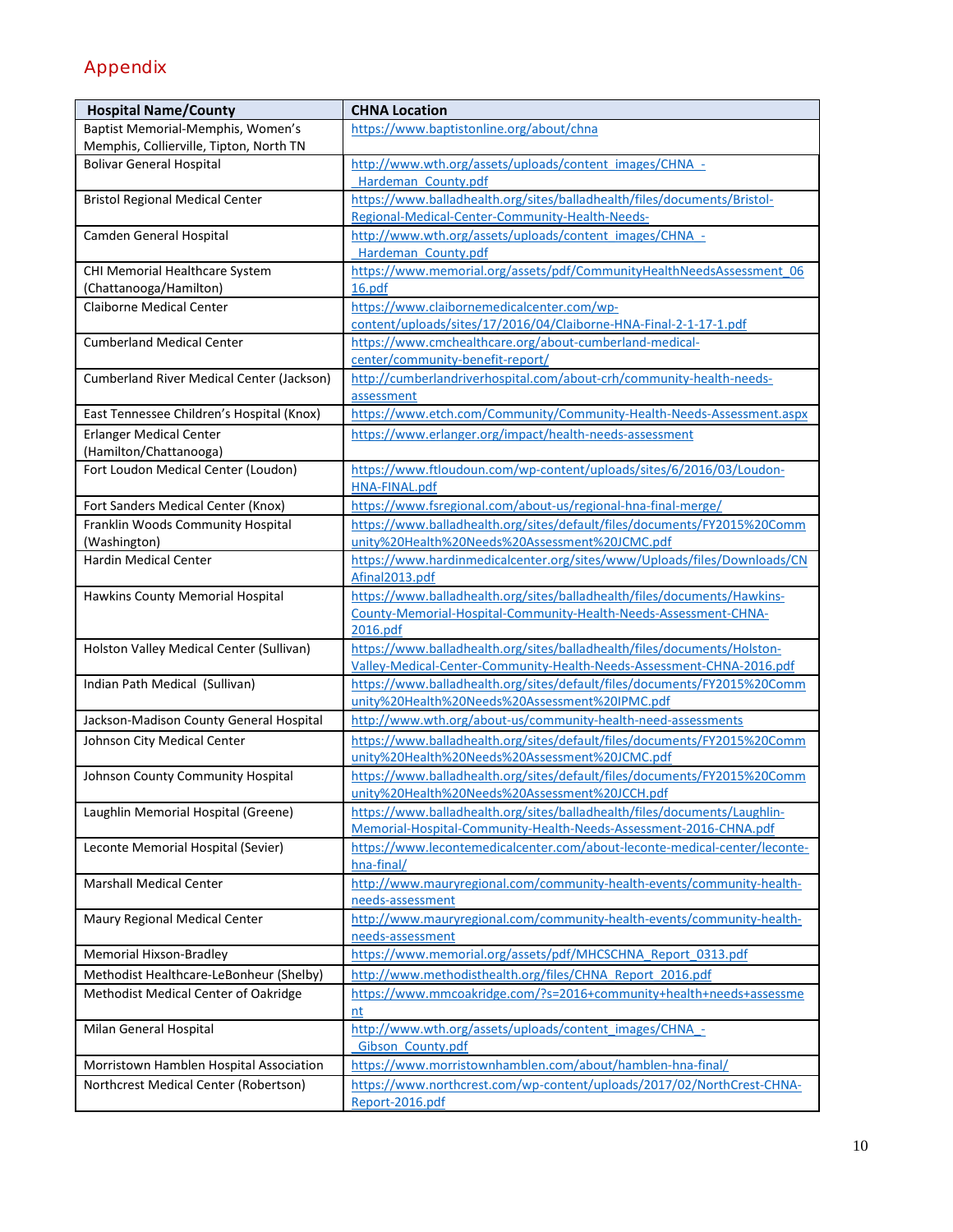| <b>Hospital Name/County</b>                              | <b>CHNA Location</b>                                                                                                       |
|----------------------------------------------------------|----------------------------------------------------------------------------------------------------------------------------|
| Baptist Memorial-Memphis, Women's                        | https://www.baptistonline.org/about/chna                                                                                   |
| Memphis, Collierville, Tipton, North TN                  |                                                                                                                            |
| <b>Bolivar General Hospital</b>                          | http://www.wth.org/assets/uploads/content_images/CHNA_-                                                                    |
|                                                          | Hardeman County.pdf                                                                                                        |
| <b>Bristol Regional Medical Center</b>                   | https://www.balladhealth.org/sites/balladhealth/files/documents/Bristol-                                                   |
|                                                          | Regional-Medical-Center-Community-Health-Needs-                                                                            |
| Camden General Hospital                                  | http://www.wth.org/assets/uploads/content_images/CHNA -                                                                    |
|                                                          | Hardeman County.pdf                                                                                                        |
| CHI Memorial Healthcare System<br>(Chattanooga/Hamilton) | https://www.memorial.org/assets/pdf/CommunityHealthNeedsAssessment 06<br>16.pdf                                            |
| <b>Claiborne Medical Center</b>                          | https://www.claibornemedicalcenter.com/wp-                                                                                 |
|                                                          | content/uploads/sites/17/2016/04/Claiborne-HNA-Final-2-1-17-1.pdf                                                          |
| <b>Cumberland Medical Center</b>                         | https://www.cmchealthcare.org/about-cumberland-medical-                                                                    |
|                                                          | center/community-benefit-report/                                                                                           |
| Cumberland River Medical Center (Jackson)                | http://cumberlandriverhospital.com/about-crh/community-health-needs-                                                       |
|                                                          | assessment                                                                                                                 |
| East Tennessee Children's Hospital (Knox)                | https://www.etch.com/Community/Community-Health-Needs-Assessment.aspx                                                      |
| <b>Erlanger Medical Center</b>                           | https://www.erlanger.org/impact/health-needs-assessment                                                                    |
| (Hamilton/Chattanooga)                                   |                                                                                                                            |
| Fort Loudon Medical Center (Loudon)                      | https://www.ftloudoun.com/wp-content/uploads/sites/6/2016/03/Loudon-                                                       |
|                                                          | <b>HNA-FINAL.pdf</b>                                                                                                       |
| Fort Sanders Medical Center (Knox)                       | https://www.fsregional.com/about-us/regional-hna-final-merge/                                                              |
| Franklin Woods Community Hospital                        | https://www.balladhealth.org/sites/default/files/documents/FY2015%20Comm                                                   |
| (Washington)                                             | unity%20Health%20Needs%20Assessment%20JCMC.pdf                                                                             |
| <b>Hardin Medical Center</b>                             | https://www.hardinmedicalcenter.org/sites/www/Uploads/files/Downloads/CN                                                   |
|                                                          | Afinal2013.pdf                                                                                                             |
| Hawkins County Memorial Hospital                         | https://www.balladhealth.org/sites/balladhealth/files/documents/Hawkins-                                                   |
|                                                          | County-Memorial-Hospital-Community-Health-Needs-Assessment-CHNA-                                                           |
|                                                          | 2016.pdf                                                                                                                   |
| Holston Valley Medical Center (Sullivan)                 | https://www.balladhealth.org/sites/balladhealth/files/documents/Holston-                                                   |
|                                                          | Valley-Medical-Center-Community-Health-Needs-Assessment-CHNA-2016.pdf                                                      |
| Indian Path Medical (Sullivan)                           | https://www.balladhealth.org/sites/default/files/documents/FY2015%20Comm                                                   |
|                                                          | unity%20Health%20Needs%20Assessment%20IPMC.pdf                                                                             |
| Jackson-Madison County General Hospital                  | http://www.wth.org/about-us/community-health-need-assessments                                                              |
| Johnson City Medical Center                              | https://www.balladhealth.org/sites/default/files/documents/FY2015%20Comm                                                   |
|                                                          | unity%20Health%20Needs%20Assessment%20JCMC.pdf                                                                             |
| Johnson County Community Hospital                        | https://www.balladhealth.org/sites/default/files/documents/FY2015%20Comm<br>unity%20Health%20Needs%20Assessment%20JCCH.pdf |
| Laughlin Memorial Hospital (Greene)                      | https://www.balladhealth.org/sites/balladhealth/files/documents/Laughlin-                                                  |
|                                                          | Memorial-Hospital-Community-Health-Needs-Assessment-2016-CHNA.pdf                                                          |
| Leconte Memorial Hospital (Sevier)                       | https://www.lecontemedicalcenter.com/about-leconte-medical-center/leconte-                                                 |
|                                                          | hna-final/                                                                                                                 |
| <b>Marshall Medical Center</b>                           | http://www.mauryregional.com/community-health-events/community-health-                                                     |
|                                                          | needs-assessment                                                                                                           |
| Maury Regional Medical Center                            | http://www.mauryregional.com/community-health-events/community-health-                                                     |
|                                                          | needs-assessment                                                                                                           |
| Memorial Hixson-Bradley                                  | https://www.memorial.org/assets/pdf/MHCSCHNA Report 0313.pdf                                                               |
| Methodist Healthcare-LeBonheur (Shelby)                  | http://www.methodisthealth.org/files/CHNA Report 2016.pdf                                                                  |
| Methodist Medical Center of Oakridge                     | https://www.mmcoakridge.com/?s=2016+community+health+needs+assessme                                                        |
|                                                          | nt                                                                                                                         |
| Milan General Hospital                                   | http://www.wth.org/assets/uploads/content_images/CHNA -                                                                    |
|                                                          | Gibson County.pdf                                                                                                          |
| Morristown Hamblen Hospital Association                  | https://www.morristownhamblen.com/about/hamblen-hna-final/                                                                 |
| Northcrest Medical Center (Robertson)                    | https://www.northcrest.com/wp-content/uploads/2017/02/NorthCrest-CHNA-                                                     |
|                                                          | Report-2016.pdf                                                                                                            |